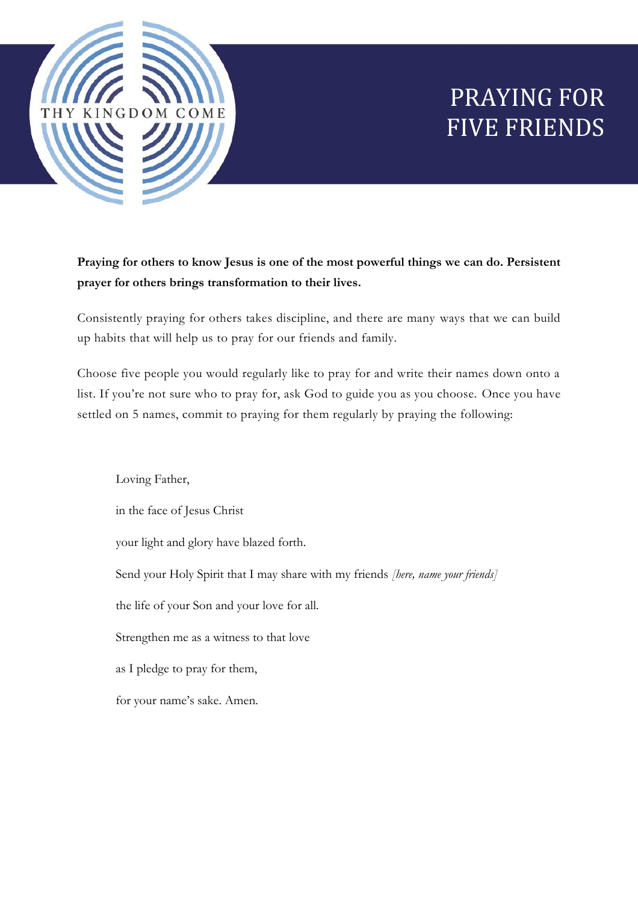

# PRAYING FOR FIVE FRIENDS

**Praying for others to know Jesus is one of the most powerful things we can do. Persistent prayer for others brings transformation to their lives.**

Consistently praying for others takes discipline, and there are many ways that we can build up habits that will help us to pray for our friends and family.

Choose five people you would regularly like to pray for and write their names down onto a list. If you're not sure who to pray for, ask God to guide you as you choose. Once you have settled on 5 names, commit to praying for them regularly by praying the following:

Loving Father, in the face of Jesus Christ your light and glory have blazed forth. Send your Holy Spirit that I may share with my friends *[here, name your friends]* the life of your Son and your love for all. Strengthen me as a witness to that love as I pledge to pray for them, for your name's sake. Amen.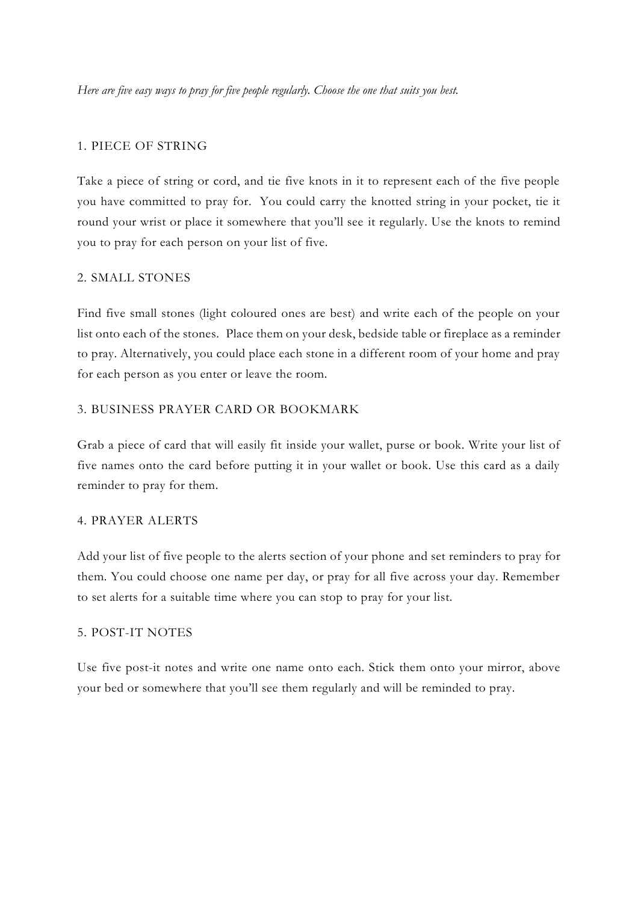*Here are five easy ways to pray for five people regularly. Choose the one that suits you best.*

#### 1. PIECE OF STRING

Take a piece of string or cord, and tie five knots in it to represent each of the five people you have committed to pray for. You could carry the knotted string in your pocket, tie it round your wrist or place it somewhere that you'll see it regularly. Use the knots to remind you to pray for each person on your list of five.

#### 2. SMALL STONES

Find five small stones (light coloured ones are best) and write each of the people on your list onto each of the stones. Place them on your desk, bedside table or fireplace as a reminder to pray. Alternatively, you could place each stone in a different room of your home and pray for each person as you enter or leave the room.

## 3. BUSINESS PRAYER CARD OR BOOKMARK

Grab a piece of card that will easily fit inside your wallet, purse or book. Write your list of five names onto the card before putting it in your wallet or book. Use this card as a daily reminder to pray for them.

## 4. PRAYER ALERTS

Add your list of five people to the alerts section of your phone and set reminders to pray for them. You could choose one name per day, or pray for all five across your day. Remember to set alerts for a suitable time where you can stop to pray for your list.

# 5. POST-IT NOTES

Use five post-it notes and write one name onto each. Stick them onto your mirror, above your bed or somewhere that you'll see them regularly and will be reminded to pray.